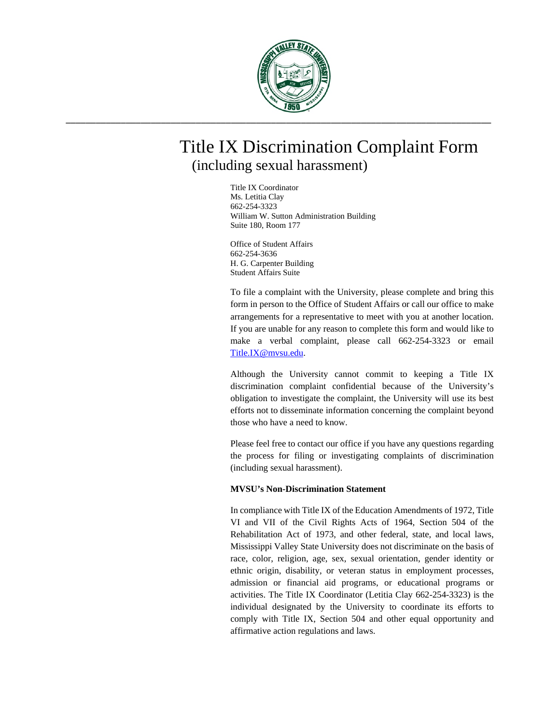

# Title IX Discrimination Complaint Form (including sexual harassment)

Title IX Coordinator Ms. Letitia Clay 662-254-3323 William W. Sutton Administration Building Suite 180, Room 177

Office of Student Affairs 662-254-3636 H. G. Carpenter Building Student Affairs Suite

To file a complaint with the University, please complete and bring this form in person to the Office of Student Affairs or call our office to make arrangements for a representative to meet with you at another location. If you are unable for any reason to complete this form and would like to make a verbal complaint, please call 662-254-3323 or email [Title.IX@mvsu.edu.](mailto:Title.IX@mvsu.edu)

Although the University cannot commit to keeping a Title IX discrimination complaint confidential because of the University's obligation to investigate the complaint, the University will use its best efforts not to disseminate information concerning the complaint beyond those who have a need to know.

Please feel free to contact our office if you have any questions regarding the process for filing or investigating complaints of discrimination (including sexual harassment).

## **MVSU's Non-Discrimination Statement**

In compliance with Title IX of the Education Amendments of 1972, Title VI and VII of the Civil Rights Acts of 1964, Section 504 of the Rehabilitation Act of 1973, and other federal, state, and local laws, Mississippi Valley State University does not discriminate on the basis of race, color, religion, age, sex, sexual orientation, gender identity or ethnic origin, disability, or veteran status in employment processes, admission or financial aid programs, or educational programs or activities. The Title IX Coordinator (Letitia Clay 662-254-3323) is the individual designated by the University to coordinate its efforts to comply with Title IX, Section 504 and other equal opportunity and affirmative action regulations and laws.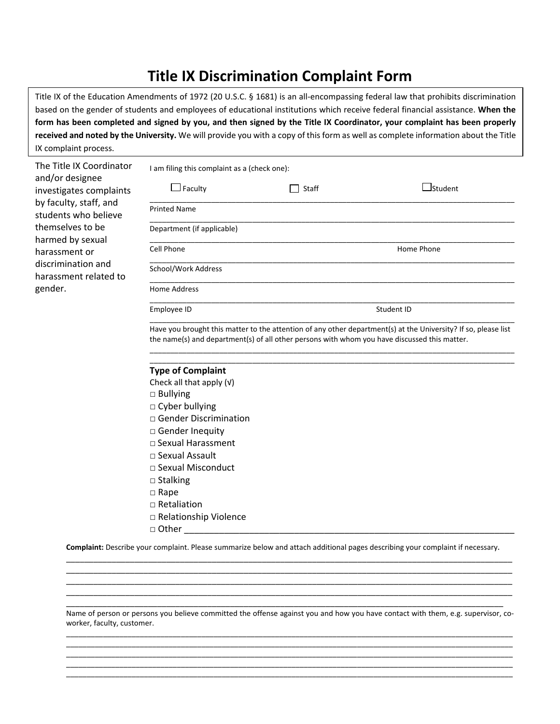## **Title IX Discrimination Complaint Form**

Title IX of the Education Amendments of 1972 (20 U.S.C. § 1681) is an all-encompassing federal law that prohibits discrimination based on the gender of students and employees of educational institutions which receive federal financial assistance. **When the form has been completed and signed by you, and then signed by the Title IX Coordinator, your complaint has been properly received and noted by the University.** We will provide you with a copy of this form as well as complete information about the Title IX complaint process.

| The Title IX Coordinator                       | I am filing this complaint as a (check one):                                                                                                                                                                   |       |                |  |
|------------------------------------------------|----------------------------------------------------------------------------------------------------------------------------------------------------------------------------------------------------------------|-------|----------------|--|
| and/or designee<br>investigates complaints     | $\Box$ Faculty                                                                                                                                                                                                 | Staff | $\Box$ Student |  |
| by faculty, staff, and<br>students who believe | <b>Printed Name</b>                                                                                                                                                                                            |       |                |  |
| themselves to be<br>harmed by sexual           | Department (if applicable)                                                                                                                                                                                     |       |                |  |
| harassment or                                  | Cell Phone                                                                                                                                                                                                     |       | Home Phone     |  |
| discrimination and<br>harassment related to    | School/Work Address                                                                                                                                                                                            |       |                |  |
| gender.                                        | <b>Home Address</b>                                                                                                                                                                                            |       |                |  |
|                                                | Employee ID                                                                                                                                                                                                    |       | Student ID     |  |
|                                                | Have you brought this matter to the attention of any other department(s) at the University? If so, please list<br>the name(s) and department(s) of all other persons with whom you have discussed this matter. |       |                |  |
|                                                | <b>Type of Complaint</b>                                                                                                                                                                                       |       |                |  |
|                                                | Check all that apply $(v)$                                                                                                                                                                                     |       |                |  |
|                                                | $\Box$ Bullying                                                                                                                                                                                                |       |                |  |
|                                                | $\Box$ Cyber bullying                                                                                                                                                                                          |       |                |  |
|                                                | □ Gender Discrimination                                                                                                                                                                                        |       |                |  |
|                                                | $\square$ Gender Inequity                                                                                                                                                                                      |       |                |  |
|                                                | □ Sexual Harassment                                                                                                                                                                                            |       |                |  |
|                                                | $\Box$ Sexual Assault                                                                                                                                                                                          |       |                |  |
|                                                | □ Sexual Misconduct                                                                                                                                                                                            |       |                |  |

- □ Stalking
- □ Rape
- □ Retaliation
- □ Relationship Violence
- □ Other \_\_\_\_\_\_\_\_\_\_\_\_\_\_\_\_\_\_\_\_\_\_\_\_\_\_\_\_\_\_\_\_\_\_\_\_\_\_\_\_\_\_\_\_\_\_\_\_\_\_\_\_\_\_\_\_\_\_\_\_\_\_\_\_\_\_

**Complaint:** Describe your complaint. Please summarize below and attach additional pages describing your complaint if necessary. \_\_\_\_\_\_\_\_\_\_\_\_\_\_\_\_\_\_\_\_\_\_\_\_\_\_\_\_\_\_\_\_\_\_\_\_\_\_\_\_\_\_\_\_\_\_\_\_\_\_\_\_\_\_\_\_\_\_\_\_\_\_\_\_\_\_\_\_\_\_\_\_\_\_\_\_\_\_\_\_\_\_\_\_\_\_\_\_\_\_\_\_\_\_\_\_\_\_

\_\_\_\_\_\_\_\_\_\_\_\_\_\_\_\_\_\_\_\_\_\_\_\_\_\_\_\_\_\_\_\_\_\_\_\_\_\_\_\_\_\_\_\_\_\_\_\_\_\_\_\_\_\_\_\_\_\_\_\_\_\_\_\_\_\_\_\_\_\_\_\_\_\_\_\_\_\_\_\_\_\_\_\_\_\_\_\_\_\_\_\_\_\_\_\_ Name of person or persons you believe committed the offense against you and how you have contact with them, e.g. supervisor, coworker, faculty, customer. \_\_\_\_\_\_\_\_\_\_\_\_\_\_\_\_\_\_\_\_\_\_\_\_\_\_\_\_\_\_\_\_\_\_\_\_\_\_\_\_\_\_\_\_\_\_\_\_\_\_\_\_\_\_\_\_\_\_\_\_\_\_\_\_\_\_\_\_\_\_\_\_\_\_\_\_\_\_\_\_\_\_\_\_\_\_\_\_\_\_\_\_\_\_\_\_\_\_\_\_\_\_\_\_\_\_\_\_\_

\_\_\_\_\_\_\_\_\_\_\_\_\_\_\_\_\_\_\_\_\_\_\_\_\_\_\_\_\_\_\_\_\_\_\_\_\_\_\_\_\_\_\_\_\_\_\_\_\_\_\_\_\_\_\_\_\_\_\_\_\_\_\_\_\_\_\_\_\_\_\_\_\_\_\_\_\_\_\_\_\_\_\_\_\_\_\_\_\_\_\_\_\_\_\_\_\_\_\_\_\_\_\_\_\_\_\_\_\_ \_\_\_\_\_\_\_\_\_\_\_\_\_\_\_\_\_\_\_\_\_\_\_\_\_\_\_\_\_\_\_\_\_\_\_\_\_\_\_\_\_\_\_\_\_\_\_\_\_\_\_\_\_\_\_\_\_\_\_\_\_\_\_\_\_\_\_\_\_\_\_\_\_\_\_\_\_\_\_\_\_\_\_\_\_\_\_\_\_\_\_\_\_\_\_\_\_\_\_\_\_\_\_\_\_\_\_\_\_ \_\_\_\_\_\_\_\_\_\_\_\_\_\_\_\_\_\_\_\_\_\_\_\_\_\_\_\_\_\_\_\_\_\_\_\_\_\_\_\_\_\_\_\_\_\_\_\_\_\_\_\_\_\_\_\_\_\_\_\_\_\_\_\_\_\_\_\_\_\_\_\_\_\_\_\_\_\_\_\_\_\_\_\_\_\_\_\_\_\_\_\_\_\_\_\_\_\_\_\_\_\_\_\_\_\_\_\_\_ \_\_\_\_\_\_\_\_\_\_\_\_\_\_\_\_\_\_\_\_\_\_\_\_\_\_\_\_\_\_\_\_\_\_\_\_\_\_\_\_\_\_\_\_\_\_\_\_\_\_\_\_\_\_\_\_\_\_\_\_\_\_\_\_\_\_\_\_\_\_\_\_\_\_\_\_\_\_\_\_\_\_\_\_\_\_\_\_\_\_\_\_\_\_\_\_\_\_\_\_\_\_\_\_\_\_\_\_\_

\_\_\_\_\_\_\_\_\_\_\_\_\_\_\_\_\_\_\_\_\_\_\_\_\_\_\_\_\_\_\_\_\_\_\_\_\_\_\_\_\_\_\_\_\_\_\_\_\_\_\_\_\_\_\_\_\_\_\_\_\_\_\_\_\_\_\_\_\_\_\_\_\_\_\_\_\_\_\_\_\_\_\_\_\_\_\_\_\_\_\_\_\_\_\_\_\_\_ \_\_\_\_\_\_\_\_\_\_\_\_\_\_\_\_\_\_\_\_\_\_\_\_\_\_\_\_\_\_\_\_\_\_\_\_\_\_\_\_\_\_\_\_\_\_\_\_\_\_\_\_\_\_\_\_\_\_\_\_\_\_\_\_\_\_\_\_\_\_\_\_\_\_\_\_\_\_\_\_\_\_\_\_\_\_\_\_\_\_\_\_\_\_\_\_\_\_ \_\_\_\_\_\_\_\_\_\_\_\_\_\_\_\_\_\_\_\_\_\_\_\_\_\_\_\_\_\_\_\_\_\_\_\_\_\_\_\_\_\_\_\_\_\_\_\_\_\_\_\_\_\_\_\_\_\_\_\_\_\_\_\_\_\_\_\_\_\_\_\_\_\_\_\_\_\_\_\_\_\_\_\_\_\_\_\_\_\_\_\_\_\_\_\_\_\_